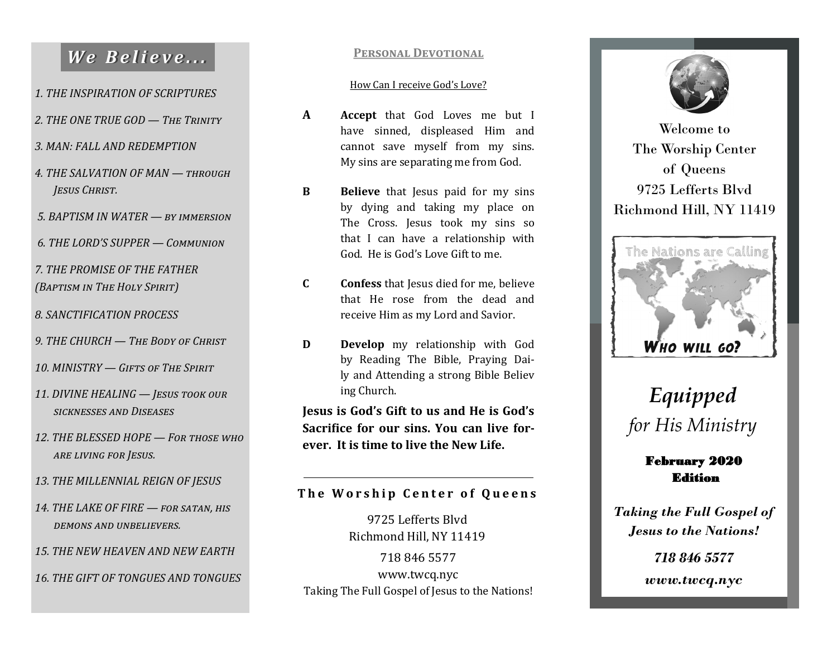## *We Believe...*

*1. THE INSPIRATION OF SCRIPTURES*

- *2. THE ONE TRUE GOD — The Trinity*
- *3. MAN: FALL AND REDEMPTION*
- *4. THE SALVATION OF MAN — through Jesus Christ.*
- *5. BAPTISM IN WATER — by immersion*
- *6. THE LORD'S SUPPER — Communion*
- *7. THE PROMISE OF THE FATHER (Baptism in The Holy Spirit)*
- *8. SANCTIFICATION PROCESS*
- *9. THE CHURCH — The Body of Christ*
- *10. MINISTRY — Gifts of The Spirit*
- *11. DIVINE HEALING — Jesus took our sicknesses and Diseases*
- *12. THE BLESSED HOPE — For those who are living for Jesus.*
- *13. THE MILLENNIAL REIGN OF JESUS*
- *14. THE LAKE OF FIRE — for satan, his demons and unbelievers.*
- *15. THE NEW HEAVEN AND NEW EARTH*
- *16. THE GIFT OF TONGUES AND TONGUES*

### **Personal Devotional**

#### How Can I receive God's Love?

- **A Accept** that God Loves me but I have sinned, displeased Him and cannot save myself from my sins. My sins are separating me from God.
- **B Believe** that Jesus paid for my sins by dying and taking my place on The Cross. Jesus took my sins so that I can have a relationship with God. He is God's Love Gift to me.
- **C Confess** that Jesus died for me, believe that He rose from the dead and receive Him as my Lord and Savior.
- **D Develop** my relationship with God by Reading The Bible, Praying Daily and Attending a strong Bible Believ ing Church.

**Jesus is God's Gift to us and He is God's Sacrifice for our sins. You can live forever. It is time to live the New Life.**

### **The Worship Center of Queens**

718 846 5577 www.twcq.nyc Taking The Full Gospel of Jesus to the Nations! 9725 Lefferts Blvd Richmond Hill, NY 11419



Welcome to The Worship Center of Queens 9725 Lefferts Blvd Richmond Hill, NY 11419



# *Equipped for His Ministry*

### February 2020 Edition

*Taking the Full Gospel of Jesus to the Nations!*

> *718 846 5577 www.twcq.nyc*